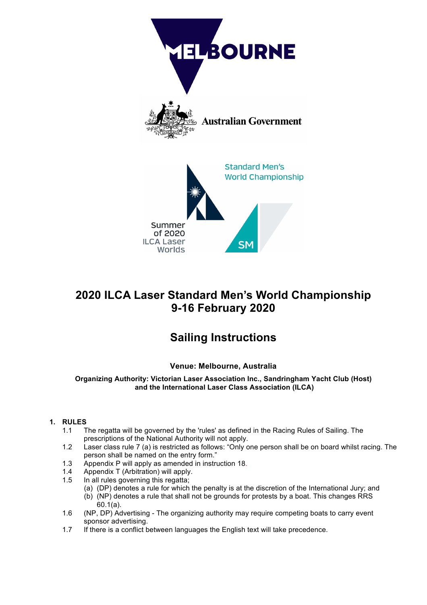

# **2020 ILCA Laser Standard Men's World Championship 9-16 February 2020**

# **Sailing Instructions**

# **Venue: Melbourne, Australia**

**Organizing Authority: Victorian Laser Association Inc., Sandringham Yacht Club (Host) and the International Laser Class Association (ILCA)**

# **1. RULES**

- 1.1 The regatta will be governed by the 'rules' as defined in the Racing Rules of Sailing. The prescriptions of the National Authority will not apply.
- 1.2 Laser class rule 7 (a) is restricted as follows: "Only one person shall be on board whilst racing. The person shall be named on the entry form."
- 1.3 Appendix P will apply as amended in instruction 18.
- 1.4 Appendix T (Arbitration) will apply.
- 1.5 In all rules governing this regatta;
	- (a) (DP) denotes a rule for which the penalty is at the discretion of the International Jury; and
	- (b) (NP) denotes a rule that shall not be grounds for protests by a boat. This changes RRS 60.1(a).
- 1.6 (NP, DP) Advertising The organizing authority may require competing boats to carry event sponsor advertising.
- 1.7 If there is a conflict between languages the English text will take precedence.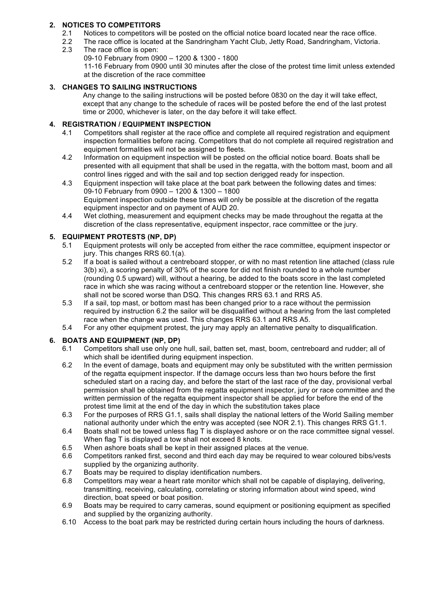# **2. NOTICES TO COMPETITORS**

- 2.1 Notices to competitors will be posted on the official notice board located near the race office.
- 2.2 The race office is located at the Sandringham Yacht Club, Jetty Road, Sandringham, Victoria.
- 2.3 The race office is open:
	- 09-10 February from 0900 1200 & 1300 1800 11-16 February from 0900 until 30 minutes after the close of the protest time limit unless extended at the discretion of the race committee

# **3. CHANGES TO SAILING INSTRUCTIONS**

Any change to the sailing instructions will be posted before 0830 on the day it will take effect, except that any change to the schedule of races will be posted before the end of the last protest time or 2000, whichever is later, on the day before it will take effect.

# **4. REGISTRATION / EQUIPMENT INSPECTION**

- 4.1 Competitors shall register at the race office and complete all required registration and equipment inspection formalities before racing. Competitors that do not complete all required registration and equipment formalities will not be assigned to fleets.
- 4.2 Information on equipment inspection will be posted on the official notice board. Boats shall be presented with all equipment that shall be used in the regatta, with the bottom mast, boom and all control lines rigged and with the sail and top section derigged ready for inspection.
- 4.3 Equipment inspection will take place at the boat park between the following dates and times: 09-10 February from 0900 – 1200 & 1300 – 1800 Equipment inspection outside these times will only be possible at the discretion of the regatta equipment inspector and on payment of AUD 20.
- 4.4 Wet clothing, measurement and equipment checks may be made throughout the regatta at the discretion of the class representative, equipment inspector, race committee or the jury.

# **5. EQUIPMENT PROTESTS (NP, DP)**

- 5.1 Equipment protests will only be accepted from either the race committee, equipment inspector or jury. This changes RRS 60.1(a).
- 5.2 If a boat is sailed without a centreboard stopper, or with no mast retention line attached (class rule 3(b) xi), a scoring penalty of 30% of the score for did not finish rounded to a whole number (rounding 0.5 upward) will, without a hearing, be added to the boats score in the last completed race in which she was racing without a centreboard stopper or the retention line. However, she shall not be scored worse than DSQ. This changes RRS 63.1 and RRS A5.
- 5.3 If a sail, top mast, or bottom mast has been changed prior to a race without the permission required by instruction 6.2 the sailor will be disqualified without a hearing from the last completed race when the change was used. This changes RRS 63.1 and RRS A5.
- 5.4 For any other equipment protest, the jury may apply an alternative penalty to disqualification.

#### **6. BOATS AND EQUIPMENT (NP, DP)**

- 6.1 Competitors shall use only one hull, sail, batten set, mast, boom, centreboard and rudder; all of which shall be identified during equipment inspection.
- 6.2 In the event of damage, boats and equipment may only be substituted with the written permission of the regatta equipment inspector. If the damage occurs less than two hours before the first scheduled start on a racing day, and before the start of the last race of the day, provisional verbal permission shall be obtained from the regatta equipment inspector, jury or race committee and the written permission of the regatta equipment inspector shall be applied for before the end of the protest time limit at the end of the day in which the substitution takes place
- 6.3 For the purposes of RRS G1.1, sails shall display the national letters of the World Sailing member national authority under which the entry was accepted (see NOR 2.1). This changes RRS G1.1.
- 6.4 Boats shall not be towed unless flag T is displayed ashore or on the race committee signal vessel. When flag T is displayed a tow shall not exceed 8 knots.
- 6.5 When ashore boats shall be kept in their assigned places at the venue.
- 6.6 Competitors ranked first, second and third each day may be required to wear coloured bibs/vests supplied by the organizing authority.
- 6.7 Boats may be required to display identification numbers.
- 6.8 Competitors may wear a heart rate monitor which shall not be capable of displaying, delivering, transmitting, receiving, calculating, correlating or storing information about wind speed, wind direction, boat speed or boat position.
- 6.9 Boats may be required to carry cameras, sound equipment or positioning equipment as specified and supplied by the organizing authority.
- 6.10 Access to the boat park may be restricted during certain hours including the hours of darkness.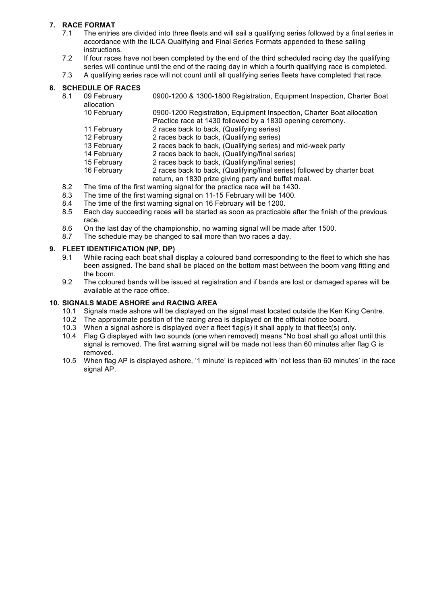# **7. RACE FORMAT**

- 7.1 The entries are divided into three fleets and will sail a qualifying series followed by a final series in accordance with the ILCA Qualifying and Final Series Formats appended to these sailing instructions.
- 7.2 If four races have not been completed by the end of the third scheduled racing day the qualifying series will continue until the end of the racing day in which a fourth qualifying race is completed.
- 7.3 A qualifying series race will not count until all qualifying series fleets have completed that race.

#### **8. SCHEDULE OF RACES**

8.1 09 February 0900-1200 & 1300-1800 Registration, Equipment Inspection, Charter Boat allocation

10 February 0900-1200 Registration, Equipment Inspection, Charter Boat allocation Practice race at 1430 followed by a 1830 opening ceremony.

- 11 February 2 races back to back, (Qualifying series)
- 12 February 2 races back to back, (Qualifying series)<br>13 February 2 races back to back, (Qualifying series)
	- 2 races back to back, (Qualifying series) and mid-week party
- 14 February 2 races back to back, (Qualifying/final series)
- 15 February 2 races back to back, (Qualifying/final series)
- 16 February 2 races back to back, (Qualifying/final series) followed by charter boat return, an 1830 prize giving party and buffet meal.
- 8.2 The time of the first warning signal for the practice race will be 1430.
- 8.3 The time of the first warning signal on 11-15 February will be 1400.
- 8.4 The time of the first warning signal on 16 February will be 1200.
- 8.5 Each day succeeding races will be started as soon as practicable after the finish of the previous race.
- 8.6 On the last day of the championship, no warning signal will be made after 1500.
- 8.7 The schedule may be changed to sail more than two races a day.

#### **9. FLEET IDENTIFICATION (NP, DP)**

- 9.1 While racing each boat shall display a coloured band corresponding to the fleet to which she has been assigned. The band shall be placed on the bottom mast between the boom vang fitting and the boom.
- 9.2 The coloured bands will be issued at registration and if bands are lost or damaged spares will be available at the race office.

#### **10. SIGNALS MADE ASHORE and RACING AREA**

- 10.1 Signals made ashore will be displayed on the signal mast located outside the Ken King Centre.
- 10.2 The approximate position of the racing area is displayed on the official notice board.<br>10.3 When a signal ashore is displayed over a fleet flag(s) it shall apply to that fleet(s) onl
- When a signal ashore is displayed over a fleet flag(s) it shall apply to that fleet(s) only.
- 10.4 Flag G displayed with two sounds (one when removed) means "No boat shall go afloat until this signal is removed. The first warning signal will be made not less than 60 minutes after flag G is removed.
- 10.5 When flag AP is displayed ashore, '1 minute' is replaced with 'not less than 60 minutes' in the race signal AP.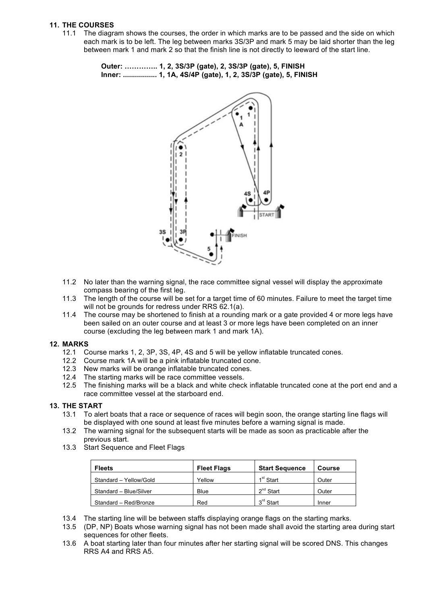#### **11. THE COURSES**

11.1 The diagram shows the courses, the order in which marks are to be passed and the side on which each mark is to be left. The leg between marks 3S/3P and mark 5 may be laid shorter than the leg between mark 1 and mark 2 so that the finish line is not directly to leeward of the start line.

> **Outer: ………….. 1, 2, 3S/3P (gate), 2, 3S/3P (gate), 5, FINISH Inner: ................. 1, 1A, 4S/4P (gate), 1, 2, 3S/3P (gate), 5, FINISH**



- 11.2 No later than the warning signal, the race committee signal vessel will display the approximate compass bearing of the first leg.
- 11.3 The length of the course will be set for a target time of 60 minutes. Failure to meet the target time will not be grounds for redress under RRS 62.1(a).
- 11.4 The course may be shortened to finish at a rounding mark or a gate provided 4 or more legs have been sailed on an outer course and at least 3 or more legs have been completed on an inner course (excluding the leg between mark 1 and mark 1A).

#### **12. MARKS**

- 12.1 Course marks 1, 2, 3P, 3S, 4P, 4S and 5 will be yellow inflatable truncated cones.
- 12.2 Course mark 1A will be a pink inflatable truncated cone.
- 12.3 New marks will be orange inflatable truncated cones.
- 12.4 The starting marks will be race committee vessels.
- 12.5 The finishing marks will be a black and white check inflatable truncated cone at the port end and a race committee vessel at the starboard end.

#### **13. THE START**

- 13.1 To alert boats that a race or sequence of races will begin soon, the orange starting line flags will be displayed with one sound at least five minutes before a warning signal is made.
- 13.2 The warning signal for the subsequent starts will be made as soon as practicable after the previous start.
- 13.3 Start Sequence and Fleet Flags

| <b>Fleets</b>          | <b>Fleet Flags</b> | <b>Start Sequence</b> | Course |
|------------------------|--------------------|-----------------------|--------|
| Standard - Yellow/Gold | Yellow             | 1 <sup>st</sup> Start | Outer  |
| Standard - Blue/Silver | Blue               | $2^{nd}$ Start        | Outer  |
| Standard - Red/Bronze  | Red                | $3rd$ Start           | Inner  |

- 13.4 The starting line will be between staffs displaying orange flags on the starting marks.
- 13.5 (DP, NP) Boats whose warning signal has not been made shall avoid the starting area during start sequences for other fleets.
- 13.6 A boat starting later than four minutes after her starting signal will be scored DNS. This changes RRS A4 and RRS A5.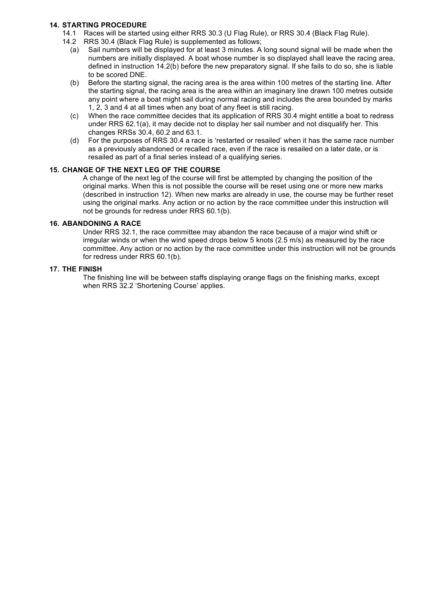#### **14. STARTING PROCEDURE**

- 14.1 Races will be started using either RRS 30.3 (U Flag Rule), or RRS 30.4 (Black Flag Rule).
- 14.2 RRS 30.4 (Black Flag Rule) is supplemented as follows;
	- (a) Sail numbers will be displayed for at least 3 minutes. A long sound signal will be made when the numbers are initially displayed. A boat whose number is so displayed shall leave the racing area, defined in instruction 14.2(b) before the new preparatory signal. If she fails to do so, she is liable to be scored DNE.
	- (b) Before the starting signal, the racing area is the area within 100 metres of the starting line. After the starting signal, the racing area is the area within an imaginary line drawn 100 metres outside any point where a boat might sail during normal racing and includes the area bounded by marks 1, 2, 3 and 4 at all times when any boat of any fleet is still racing.
	- (c) When the race committee decides that its application of RRS 30.4 might entitle a boat to redress under RRS 62.1(a), it may decide not to display her sail number and not disqualify her. This changes RRSs 30.4, 60.2 and 63.1.
	- (d) For the purposes of RRS 30.4 a race is 'restarted or resailed' when it has the same race number as a previously abandoned or recalled race, even if the race is resailed on a later date, or is resailed as part of a final series instead of a qualifying series.

#### **15. CHANGE OF THE NEXT LEG OF THE COURSE**

A change of the next leg of the course will first be attempted by changing the position of the original marks. When this is not possible the course will be reset using one or more new marks (described in instruction 12). When new marks are already in use, the course may be further reset using the original marks. Any action or no action by the race committee under this instruction will not be grounds for redress under RRS 60.1(b).

#### **16. ABANDONING A RACE**

Under RRS 32.1, the race committee may abandon the race because of a major wind shift or irregular winds or when the wind speed drops below 5 knots (2.5 m/s) as measured by the race committee. Any action or no action by the race committee under this instruction will not be grounds for redress under RRS 60.1(b).

#### **17. THE FINISH**

The finishing line will be between staffs displaying orange flags on the finishing marks, except when RRS 32.2 'Shortening Course' applies.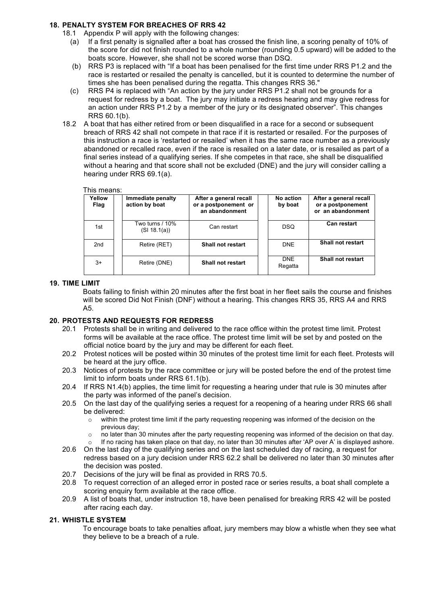#### **18. PENALTY SYSTEM FOR BREACHES OF RRS 42**

18.1 Appendix P will apply with the following changes:

- (a) If a first penalty is signalled after a boat has crossed the finish line, a scoring penalty of 10% of the score for did not finish rounded to a whole number (rounding 0.5 upward) will be added to the boats score. However, she shall not be scored worse than DSQ.
- (b) RRS P3 is replaced with "If a boat has been penalised for the first time under RRS P1.2 and the race is restarted or resailed the penalty is cancelled, but it is counted to determine the number of times she has been penalised during the regatta. This changes RRS 36."
- (c) RRS P4 is replaced with "An action by the jury under RRS P1.2 shall not be grounds for a request for redress by a boat. The jury may initiate a redress hearing and may give redress for an action under RRS P1.2 by a member of the jury or its designated observer". This changes RRS 60.1(b).
- 18.2 A boat that has either retired from or been disqualified in a race for a second or subsequent breach of RRS 42 shall not compete in that race if it is restarted or resailed. For the purposes of this instruction a race is 'restarted or resailed' when it has the same race number as a previously abandoned or recalled race, even if the race is resailed on a later date, or is resailed as part of a final series instead of a qualifying series. If she competes in that race, she shall be disqualified without a hearing and that score shall not be excluded (DNE) and the jury will consider calling a hearing under RRS 69.1(a).

#### This means:

| Yellow<br>Flag | Immediate penalty<br>action by boat | After a general recall<br>or a postponement or<br>an abandonment | No action<br>by boat | After a general recall<br>or a postponement<br>or an abandonment |
|----------------|-------------------------------------|------------------------------------------------------------------|----------------------|------------------------------------------------------------------|
| 1st            | Two turns / 10%<br>(SI 18.1(a))     | Can restart                                                      | <b>DSQ</b>           | <b>Can restart</b>                                               |
| 2nd            | Retire (RET)                        | <b>Shall not restart</b>                                         | <b>DNE</b>           | <b>Shall not restart</b>                                         |
| $3+$           | Retire (DNE)                        | <b>Shall not restart</b>                                         | DNE.<br>Regatta      | Shall not restart                                                |

#### **19. TIME LIMIT**

Boats failing to finish within 20 minutes after the first boat in her fleet sails the course and finishes will be scored Did Not Finish (DNF) without a hearing. This changes RRS 35, RRS A4 and RRS A5.

#### **20. PROTESTS AND REQUESTS FOR REDRESS**

- 20.1 Protests shall be in writing and delivered to the race office within the protest time limit. Protest forms will be available at the race office. The protest time limit will be set by and posted on the official notice board by the jury and may be different for each fleet.
- 20.2 Protest notices will be posted within 30 minutes of the protest time limit for each fleet. Protests will be heard at the jury office.
- 20.3 Notices of protests by the race committee or jury will be posted before the end of the protest time limit to inform boats under RRS 61.1(b).
- 20.4 If RRS N1.4(b) applies, the time limit for requesting a hearing under that rule is 30 minutes after the party was informed of the panel's decision.
- 20.5 On the last day of the qualifying series a request for a reopening of a hearing under RRS 66 shall be delivered:
	- o within the protest time limit if the party requesting reopening was informed of the decision on the previous day;
	- $\circ$  no later than 30 minutes after the party requesting reopening was informed of the decision on that day.
	- If no racing has taken place on that day, no later than 30 minutes after 'AP over A' is displayed ashore.
- 20.6 On the last day of the qualifying series and on the last scheduled day of racing, a request for redress based on a jury decision under RRS 62.2 shall be delivered no later than 30 minutes after the decision was posted.
- 20.7 Decisions of the jury will be final as provided in RRS 70.5.
- 20.8 To request correction of an alleged error in posted race or series results, a boat shall complete a scoring enquiry form available at the race office.
- 20.9 A list of boats that, under instruction 18, have been penalised for breaking RRS 42 will be posted after racing each day.

#### **21. WHISTLE SYSTEM**

To encourage boats to take penalties afloat, jury members may blow a whistle when they see what they believe to be a breach of a rule.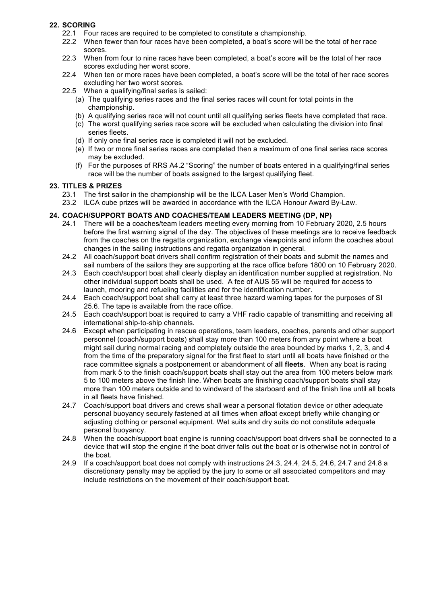#### **22. SCORING**

- 22.1 Four races are required to be completed to constitute a championship.
- 22.2 When fewer than four races have been completed, a boat's score will be the total of her race scores.
- 22.3 When from four to nine races have been completed, a boat's score will be the total of her race scores excluding her worst score.
- 22.4 When ten or more races have been completed, a boat's score will be the total of her race scores excluding her two worst scores.
- 22.5 When a qualifying/final series is sailed:
	- (a) The qualifying series races and the final series races will count for total points in the championship.
	- (b) A qualifying series race will not count until all qualifying series fleets have completed that race.
	- (c) The worst qualifying series race score will be excluded when calculating the division into final series fleets.
	- (d) If only one final series race is completed it will not be excluded.
	- (e) If two or more final series races are completed then a maximum of one final series race scores may be excluded.
	- (f) For the purposes of RRS A4.2 "Scoring" the number of boats entered in a qualifying/final series race will be the number of boats assigned to the largest qualifying fleet.

#### **23. TITLES & PRIZES**

- 23.1 The first sailor in the championship will be the ILCA Laser Men's World Champion.
- 23.2 ILCA cube prizes will be awarded in accordance with the ILCA Honour Award By-Law.

#### **24. COACH/SUPPORT BOATS AND COACHES/TEAM LEADERS MEETING (DP, NP)**

- 24.1 There will be a coaches/team leaders meeting every morning from 10 February 2020, 2.5 hours before the first warning signal of the day. The objectives of these meetings are to receive feedback from the coaches on the regatta organization, exchange viewpoints and inform the coaches about changes in the sailing instructions and regatta organization in general.
- 24.2 All coach/support boat drivers shall confirm registration of their boats and submit the names and sail numbers of the sailors they are supporting at the race office before 1800 on 10 February 2020.
- 24.3 Each coach/support boat shall clearly display an identification number supplied at registration. No other individual support boats shall be used. A fee of AUS 55 will be required for access to launch, mooring and refueling facilities and for the identification number.
- 24.4 Each coach/support boat shall carry at least three hazard warning tapes for the purposes of SI 25.6. The tape is available from the race office.
- 24.5 Each coach/support boat is required to carry a VHF radio capable of transmitting and receiving all international ship-to-ship channels.
- 24.6 Except when participating in rescue operations, team leaders, coaches, parents and other support personnel (coach/support boats) shall stay more than 100 meters from any point where a boat might sail during normal racing and completely outside the area bounded by marks 1, 2, 3, and 4 from the time of the preparatory signal for the first fleet to start until all boats have finished or the race committee signals a postponement or abandonment of **all fleets**. When any boat is racing from mark 5 to the finish coach/support boats shall stay out the area from 100 meters below mark 5 to 100 meters above the finish line. When boats are finishing coach/support boats shall stay more than 100 meters outside and to windward of the starboard end of the finish line until all boats in all fleets have finished.
- 24.7 Coach/support boat drivers and crews shall wear a personal flotation device or other adequate personal buoyancy securely fastened at all times when afloat except briefly while changing or adjusting clothing or personal equipment. Wet suits and dry suits do not constitute adequate personal buoyancy.
- 24.8 When the coach/support boat engine is running coach/support boat drivers shall be connected to a device that will stop the engine if the boat driver falls out the boat or is otherwise not in control of the boat.
- 24.9 If a coach/support boat does not comply with instructions 24.3, 24.4, 24.5, 24.6, 24.7 and 24.8 a discretionary penalty may be applied by the jury to some or all associated competitors and may include restrictions on the movement of their coach/support boat.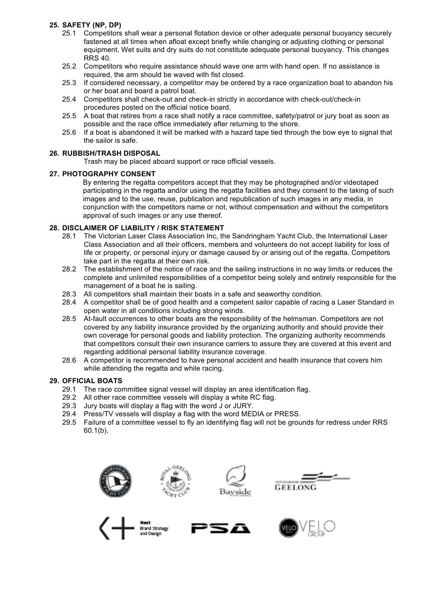#### **25. SAFETY (NP, DP)**

- 25.1 Competitors shall wear a personal flotation device or other adequate personal buoyancy securely fastened at all times when afloat except briefly while changing or adjusting clothing or personal equipment. Wet suits and dry suits do not constitute adequate personal buoyancy. This changes RRS 40.
- 25.2 Competitors who require assistance should wave one arm with hand open. If no assistance is required, the arm should be waved with fist closed.
- 25.3 If considered necessary, a competitor may be ordered by a race organization boat to abandon his or her boat and board a patrol boat.
- 25.4 Competitors shall check-out and check-in strictly in accordance with check-out/check-in procedures posted on the official notice board.
- 25.5 A boat that retires from a race shall notify a race committee, safety/patrol or jury boat as soon as possible and the race office immediately after returning to the shore.
- 25.6 If a boat is abandoned it will be marked with a hazard tape tied through the bow eye to signal that the sailor is safe.

# **26. RUBBISH/TRASH DISPOSAL**

Trash may be placed aboard support or race official vessels.

#### **27. PHOTOGRAPHY CONSENT**

By entering the regatta competitors accept that they may be photographed and/or videotaped participating in the regatta and/or using the regatta facilities and they consent to the taking of such images and to the use, reuse, publication and republication of such images in any media, in conjunction with the competitors name or not, without compensation and without the competitors approval of such images or any use thereof.

# **28. DISCLAIMER OF LIABILITY / RISK STATEMENT**

- 28.1 The Victorian Laser Class Association Inc, the Sandringham Yacht Club, the International Laser Class Association and all their officers, members and volunteers do not accept liability for loss of life or property, or personal injury or damage caused by or arising out of the regatta. Competitors take part in the regatta at their own risk.
- 28.2 The establishment of the notice of race and the sailing instructions in no way limits or reduces the complete and unlimited responsibilities of a competitor being solely and entirely responsible for the management of a boat he is sailing.
- 28.3 All competitors shall maintain their boats in a safe and seaworthy condition.
- 28.4 A competitor shall be of good health and a competent sailor capable of racing a Laser Standard in open water in all conditions including strong winds.
- 28.5 At-fault occurrences to other boats are the responsibility of the helmsman. Competitors are not covered by any liability insurance provided by the organizing authority and should provide their own coverage for personal goods and liability protection. The organizing authority recommends that competitors consult their own insurance carriers to assure they are covered at this event and regarding additional personal liability insurance coverage.
- 28.6 A competitor is recommended to have personal accident and health insurance that covers him while attending the regatta and while racing.

# **29. OFFICIAL BOATS**

- 29.1 The race committee signal vessel will display an area identification flag.
- 29.2 All other race committee vessels will display a white RC flag.
- 29.3 Jury boats will display a flag with the word J or JURY.
- 29.4 Press/TV vessels will display a flag with the word MEDIA or PRESS.
- 29.5 Failure of a committee vessel to fly an identifying flag will not be grounds for redress under RRS 60.1(b).